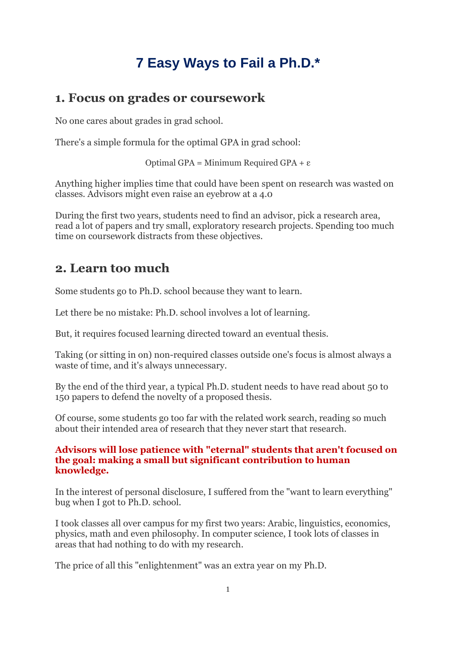# **7 Easy Ways to Fail a Ph.D.\***

### **1. Focus on grades or coursework**

No one cares about grades in grad school.

There's a simple formula for the optimal GPA in grad school:

Optimal GPA = Minimum Required GPA + ε

Anything higher implies time that could have been spent on research was wasted on classes. Advisors might even raise an eyebrow at a 4.0

During the first two years, students need to find an advisor, pick a research area, read a lot of papers and try small, exploratory research projects. Spending too much time on coursework distracts from these objectives.

## **2. Learn too much**

Some students go to Ph.D. school because they want to learn.

Let there be no mistake: Ph.D. school involves a lot of learning.

But, it requires focused learning directed toward an eventual thesis.

Taking (or sitting in on) non-required classes outside one's focus is almost always a waste of time, and it's always unnecessary.

By the end of the third year, a typical Ph.D. student needs to have read about 50 to 150 papers to defend the novelty of a proposed thesis.

Of course, some students go too far with the related work search, reading so much about their intended area of research that they never start that research.

#### **Advisors will lose patience with "eternal" students that aren't focused on the goal: making a small but significant contribution to human knowledge.**

In the interest of personal disclosure, I suffered from the "want to learn everything" bug when I got to Ph.D. school.

I took classes all over campus for my first two years: Arabic, linguistics, economics, physics, math and even philosophy. In computer science, I took lots of classes in areas that had nothing to do with my research.

The price of all this "enlightenment" was an extra year on my Ph.D.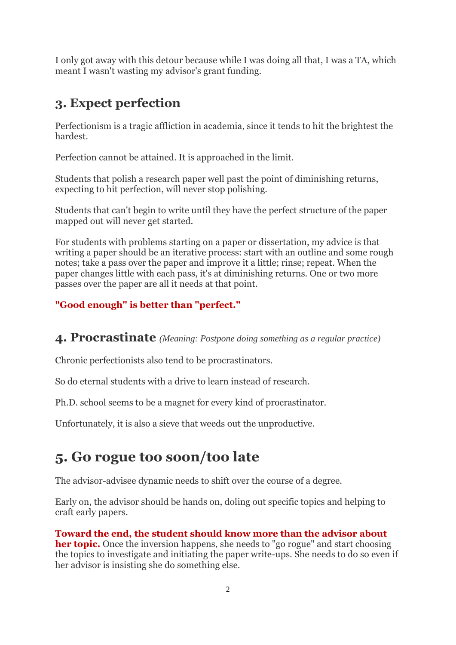I only got away with this detour because while I was doing all that, I was a TA, which meant I wasn't wasting my advisor's grant funding.

## **3. Expect perfection**

Perfectionism is a tragic affliction in academia, since it tends to hit the brightest the hardest.

Perfection cannot be attained. It is approached in the limit.

Students that polish a research paper well past the point of diminishing returns, expecting to hit perfection, will never stop polishing.

Students that can't begin to write until they have the perfect structure of the paper mapped out will never get started.

For students with problems starting on a paper or dissertation, my advice is that writing a paper should be an iterative process: start with an outline and some rough notes; take a pass over the paper and improve it a little; rinse; repeat. When the paper changes little with each pass, it's at diminishing returns. One or two more passes over the paper are all it needs at that point.

### **"Good enough" is better than "perfect."**

### **4. Procrastinate** *(Meaning: Postpone doing something as a regular practice)*

Chronic perfectionists also tend to be procrastinators.

So do eternal students with a drive to learn instead of research.

Ph.D. school seems to be a magnet for every kind of procrastinator.

Unfortunately, it is also a sieve that weeds out the unproductive.

# **5. Go rogue too soon/too late**

The advisor-advisee dynamic needs to shift over the course of a degree.

Early on, the advisor should be hands on, doling out specific topics and helping to craft early papers.

#### **Toward the end, the student should know more than the advisor about her topic.** Once the inversion happens, she needs to "go rogue" and start choosing the topics to investigate and initiating the paper write-ups. She needs to do so even if her advisor is insisting she do something else.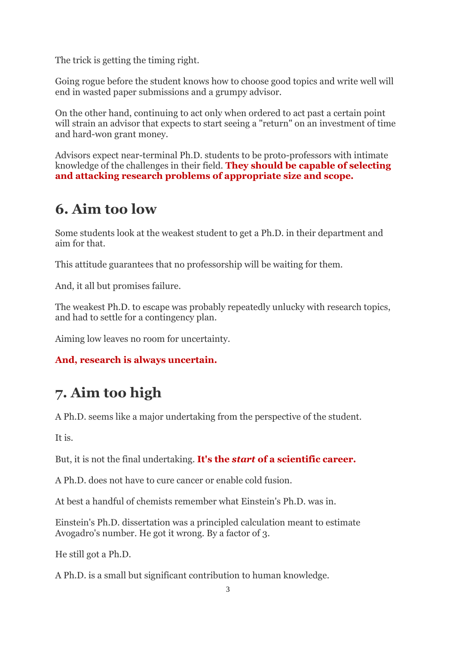The trick is getting the timing right.

Going rogue before the student knows how to choose good topics and write well will end in wasted paper submissions and a grumpy advisor.

On the other hand, continuing to act only when ordered to act past a certain point will strain an advisor that expects to start seeing a "return" on an investment of time and hard-won grant money.

Advisors expect near-terminal Ph.D. students to be proto-professors with intimate knowledge of the challenges in their field. **They should be capable of selecting and attacking research problems of appropriate size and scope.**

## **6. Aim too low**

Some students look at the weakest student to get a Ph.D. in their department and aim for that.

This attitude guarantees that no professorship will be waiting for them.

And, it all but promises failure.

The weakest Ph.D. to escape was probably repeatedly unlucky with research topics, and had to settle for a contingency plan.

Aiming low leaves no room for uncertainty.

### **And, research is always uncertain.**

# **7. Aim too high**

A Ph.D. seems like a major undertaking from the perspective of the student.

It is.

But, it is not the final undertaking. **It's the** *start* **of a scientific career.**

A Ph.D. does not have to cure cancer or enable cold fusion.

At best a handful of chemists remember what Einstein's Ph.D. was in.

Einstein's Ph.D. dissertation was a principled calculation meant to estimate Avogadro's number. He got it wrong. By a factor of 3.

He still got a Ph.D.

A Ph.D. is a small but significant contribution to human knowledge.